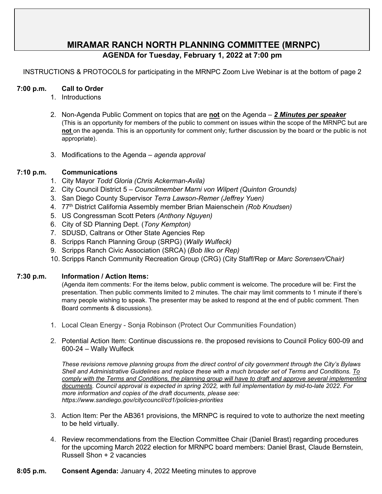# **MIRAMAR RANCH NORTH PLANNING COMMITTEE (MRNPC)**

# **AGENDA for Tuesday, February 1, 2022 at 7:00 pm**

INSTRUCTIONS & PROTOCOLS for participating in the MRNPC Zoom Live Webinar is at the bottom of page 2

#### **7:00 p.m. Call to Order**

- 1. Introductions
- 2. Non-Agenda Public Comment on topics that are **not** on the Agenda *2 Minutes per speaker* (This is an opportunity for members of the public to comment on issues within the scope of the MRNPC but are **not** on the agenda. This is an opportunity for comment only; further discussion by the board or the public is not appropriate).
- 3. Modifications to the Agenda *agenda approval*

#### **7:10 p.m. Communications**

- 1. City Mayor *Todd Gloria (Chris Ackerman-Avila)*
- 2. City Council District 5 *Councilmember Marni von Wilpert (Quinton Grounds)*
- 3. San Diego County Supervisor *Terra Lawson-Remer (Jeffrey Yuen)*
- 4. 77th District California Assembly member Brian Maienschein *(Rob Knudsen)*
- 5. US Congressman Scott Peters *(Anthony Nguyen)*
- 6. City of SD Planning Dept. (*Tony Kempton)*
- 7. SDUSD, Caltrans or Other State Agencies Rep
- 8. Scripps Ranch Planning Group (SRPG) (*Wally Wulfeck)*
- 9. Scripps Ranch Civic Association (SRCA) (*Bob Ilko or Rep)*
- 10. Scripps Ranch Community Recreation Group (CRG) (City Staff/Rep or *Marc Sorensen/Chair)*

#### **7:30 p.m. Information / Action Items:**

(Agenda item comments: For the items below, public comment is welcome. The procedure will be: First the presentation. Then public comments limited to 2 minutes. The chair may limit comments to 1 minute if there's many people wishing to speak. The presenter may be asked to respond at the end of public comment. Then Board comments & discussions).

- 1. Local Clean Energy Sonja Robinson (Protect Our Communities Foundation)
- 2. Potential Action Item: Continue discussions re. the proposed revisions to Council Policy 600-09 and 600-24 – Wally Wulfeck

*These revisions remove planning groups from the direct control of city government through the City's Bylaws Shell and Administrative Guidelines and replace these with a much broader set of Terms and Conditions. To comply with the Terms and Conditions, the planning group will have to draft and approve several implementing documents. Council approval is expected in spring 2022, with full implementation by mid-to-late 2022. For more information and copies of the draft documents, please see: https://www.sandiego.gov/citycouncil/cd1/policies-priorities* 

- 3. Action Item: Per the AB361 provisions, the MRNPC is required to vote to authorize the next meeting to be held virtually.
- 4. Review recommendations from the Election Committee Chair (Daniel Brast) regarding procedures for the upcoming March 2022 election for MRNPC board members: Daniel Brast, Claude Bernstein, Russell Shon + 2 vacancies